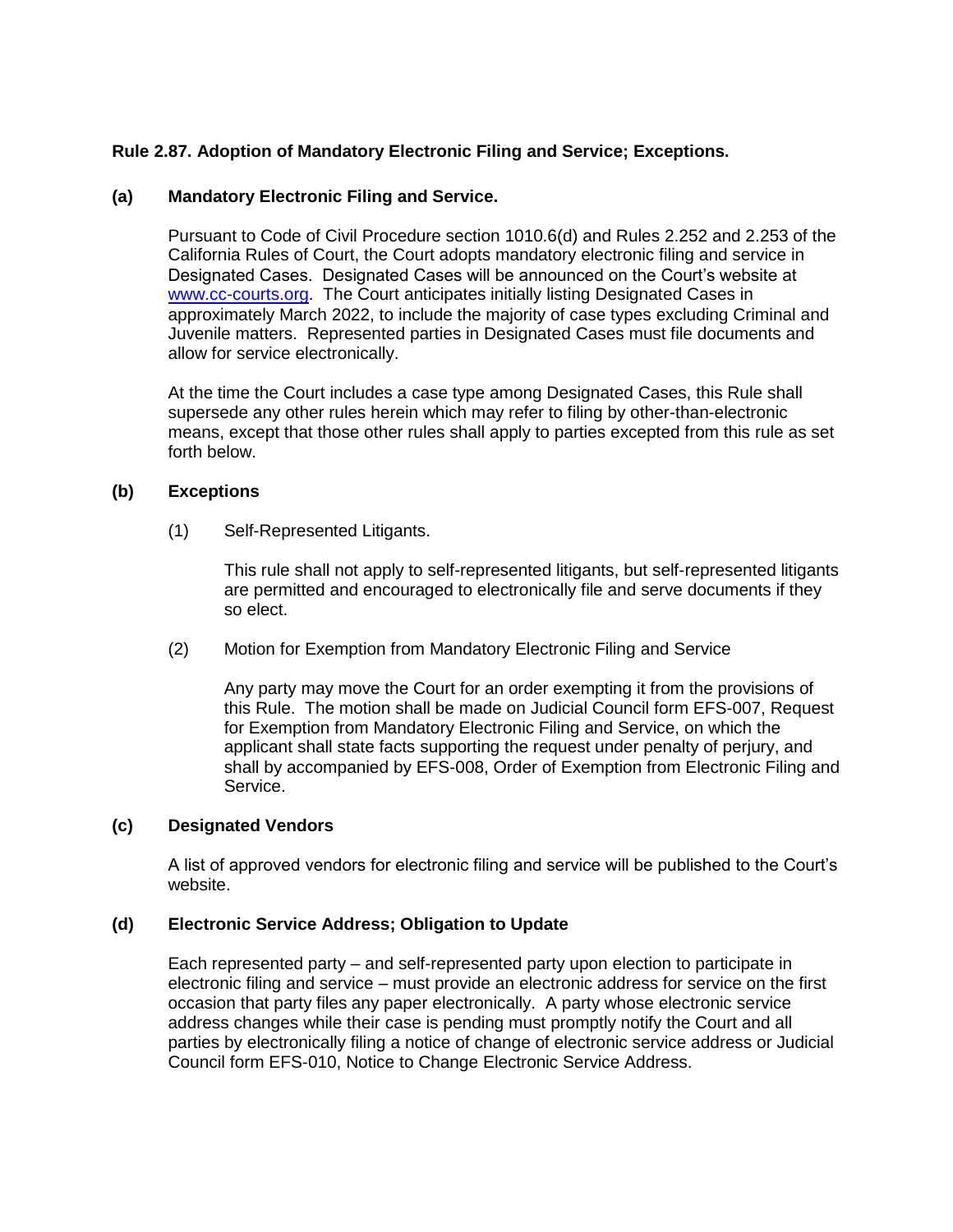# **Rule 2.87. Adoption of Mandatory Electronic Filing and Service; Exceptions.**

## **(a) Mandatory Electronic Filing and Service.**

Pursuant to Code of Civil Procedure section 1010.6(d) and Rules 2.252 and 2.253 of the California Rules of Court, the Court adopts mandatory electronic filing and service in Designated Cases. Designated Cases will be announced on the Court's website at [www.cc-courts.org.](http://www.cc-courts.org/) The Court anticipates initially listing Designated Cases in approximately March 2022, to include the majority of case types excluding Criminal and Juvenile matters. Represented parties in Designated Cases must file documents and allow for service electronically.

At the time the Court includes a case type among Designated Cases, this Rule shall supersede any other rules herein which may refer to filing by other-than-electronic means, except that those other rules shall apply to parties excepted from this rule as set forth below.

## **(b) Exceptions**

(1) Self-Represented Litigants.

This rule shall not apply to self-represented litigants, but self-represented litigants are permitted and encouraged to electronically file and serve documents if they so elect.

(2) Motion for Exemption from Mandatory Electronic Filing and Service

Any party may move the Court for an order exempting it from the provisions of this Rule. The motion shall be made on Judicial Council form EFS-007, Request for Exemption from Mandatory Electronic Filing and Service, on which the applicant shall state facts supporting the request under penalty of perjury, and shall by accompanied by EFS-008, Order of Exemption from Electronic Filing and Service.

## **(c) Designated Vendors**

A list of approved vendors for electronic filing and service will be published to the Court's website.

#### **(d) Electronic Service Address; Obligation to Update**

Each represented party – and self-represented party upon election to participate in electronic filing and service – must provide an electronic address for service on the first occasion that party files any paper electronically. A party whose electronic service address changes while their case is pending must promptly notify the Court and all parties by electronically filing a notice of change of electronic service address or Judicial Council form EFS-010, Notice to Change Electronic Service Address.